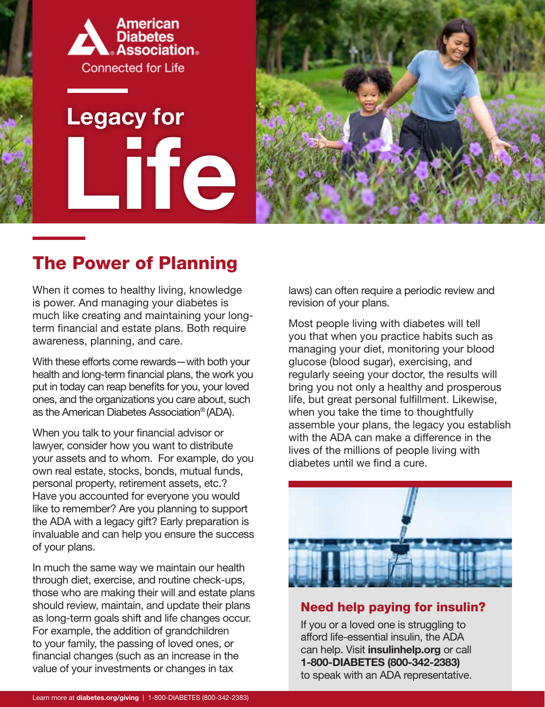

# **Life Legacy for**



## The Power of Planning

When it comes to healthy living, knowledge is power. And managing your diabetes is much like creating and maintaining your longterm financial and estate plans. Both require awareness, planning, and care.

With these efforts come rewards—with both your health and long-term financial plans, the work you put in today can reap benefits for you, your loved ones, and the organizations you care about, such as the American Diabetes Association® (ADA).

When you talk to your financial advisor or lawyer, consider how you want to distribute your assets and to whom. For example, do you own real estate, stocks, bonds, mutual funds, personal property, retirement assets, etc.? Have you accounted for everyone you would like to remember? Are you planning to support the ADA with a legacy gift? Early preparation is invaluable and can help you ensure the success of your plans.

In much the same way we maintain our health through diet, exercise, and routine check-ups, those who are making their will and estate plans should review, maintain, and update their plans as long-term goals shift and life changes occur. For example, the addition of grandchildren to your family, the passing of loved ones, or financial changes (such as an increase in the value of your investments or changes in tax

laws) can often require a periodic review and revision of your plans.

Most people living with diabetes will tell you that when you practice habits such as managing your diet, monitoring your blood glucose (blood sugar), exercising, and regularly seeing your doctor, the results will bring you not only a healthy and prosperous life, but great personal fulfillment. Likewise, when you take the time to thoughtfully assemble your plans, the legacy you establish with the ADA can make a difference in the lives of the millions of people living with diabetes until we find a cure.



#### Need help paying for insulin?

If you or a loved one is struggling to afford life-essential insulin, the ADA can help. Visit insulinhelp.org or call 1-800-DIABETES (800-342-2383) to speak with an ADA representative.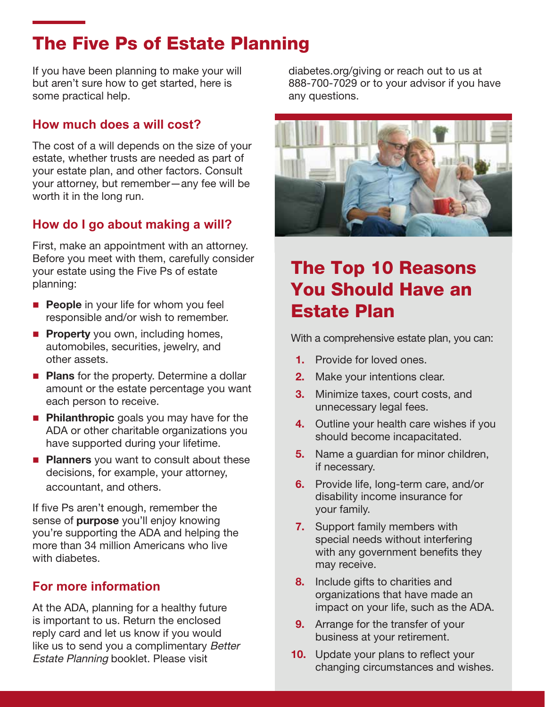## The Five Ps of Estate Planning

If you have been planning to make your will but aren't sure how to get started, here is some practical help.

#### **How much does a will cost?**

The cost of a will depends on the size of your estate, whether trusts are needed as part of your estate plan, and other factors. Consult your attorney, but remember—any fee will be worth it in the long run.

#### **How do I go about making a will?**

First, make an appointment with an attorney. Before you meet with them, carefully consider your estate using the Five Ps of estate planning:

- **People** in your life for whom you feel responsible and/or wish to remember.
- **Property** you own, including homes, automobiles, securities, jewelry, and other assets.
- **Plans** for the property. Determine a dollar amount or the estate percentage you want each person to receive.
- **Philanthropic** goals you may have for the ADA or other charitable organizations you have supported during your lifetime.
- **Planners** you want to consult about these decisions, for example, your attorney, accountant, and others.

If five Ps aren't enough, remember the sense of **purpose** you'll enjoy knowing you're supporting the ADA and helping the more than 34 million Americans who live with diabetes.

#### **For more information**

At the ADA, planning for a healthy future is important to us. Return the enclosed reply card and let us know if you would like us to send you a complimentary Better Estate Planning booklet. Please visit

diabetes.org/giving or reach out to us at 888-700-7029 or to your advisor if you have any questions.



## The Top 10 Reasons You Should Have an Estate Plan

With a comprehensive estate plan, you can:

- 1. Provide for loved ones.
- 2. Make your intentions clear.
- **3.** Minimize taxes, court costs, and unnecessary legal fees.
- 4. Outline your health care wishes if you should become incapacitated.
- **5.** Name a guardian for minor children, if necessary.
- 6. Provide life, long-term care, and/or disability income insurance for your family.
- 7. Support family members with special needs without interfering with any government benefits they may receive.
- 8. Include gifts to charities and organizations that have made an impact on your life, such as the ADA.
- **9.** Arrange for the transfer of your business at your retirement.
- **10.** Update your plans to reflect your changing circumstances and wishes.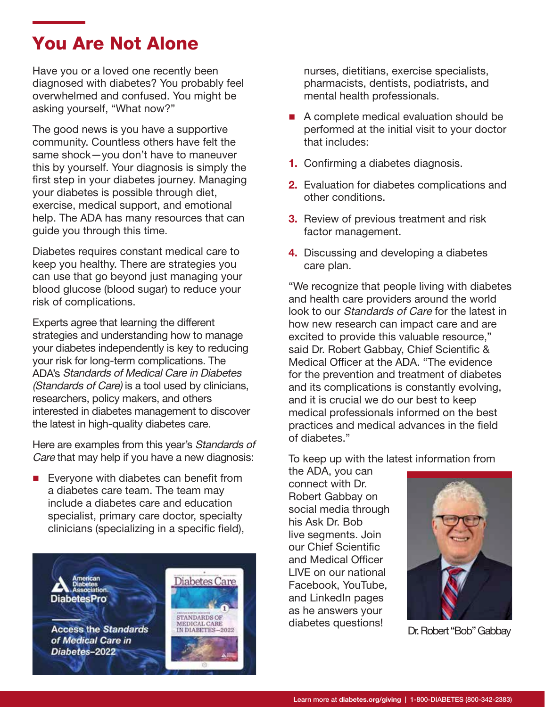## You Are Not Alone

Have you or a loved one recently been diagnosed with diabetes? You probably feel overwhelmed and confused. You might be asking yourself, "What now?"

The good news is you have a supportive community. Countless others have felt the same shock—you don't have to maneuver this by yourself. Your diagnosis is simply the first step in your diabetes journey. Managing your diabetes is possible through diet, exercise, medical support, and emotional help. The ADA has many resources that can guide you through this time.

Diabetes requires constant medical care to keep you healthy. There are strategies you can use that go beyond just managing your blood glucose (blood sugar) to reduce your risk of complications.

Experts agree that learning the different strategies and understanding how to manage your diabetes independently is key to reducing your risk for long-term complications. The ADA's Standards of Medical Care in Diabetes (Standards of Care) is a tool used by clinicians, researchers, policy makers, and others interested in diabetes management to discover the latest in high-quality diabetes care.

Here are examples from this year's Standards of Care that may help if you have a new diagnosis:

 Everyone with diabetes can benefit from a diabetes care team. The team may include a diabetes care and education specialist, primary care doctor, specialty clinicians (specializing in a specific field),



nurses, dietitians, exercise specialists, pharmacists, dentists, podiatrists, and mental health professionals.

- A complete medical evaluation should be performed at the initial visit to your doctor that includes:
- 1. Confirming a diabetes diagnosis.
- 2. Evaluation for diabetes complications and other conditions.
- **3.** Review of previous treatment and risk factor management.
- **4.** Discussing and developing a diabetes care plan.

"We recognize that people living with diabetes and health care providers around the world look to our *Standards of Care* for the latest in how new research can impact care and are excited to provide this valuable resource," said Dr. Robert Gabbay, Chief Scientific & Medical Officer at the ADA. "The evidence for the prevention and treatment of diabetes and its complications is constantly evolving, and it is crucial we do our best to keep medical professionals informed on the best practices and medical advances in the field of diabetes."

To keep up with the latest information from

the ADA, you can connect with Dr. Robert Gabbay on social media through his Ask Dr. Bob live segments. Join our Chief Scientific and Medical Officer LIVE on our national Facebook, YouTube, and LinkedIn pages as he answers your diabetes questions!

![](_page_2_Picture_17.jpeg)

Dr. Robert "Bob" Gabbay